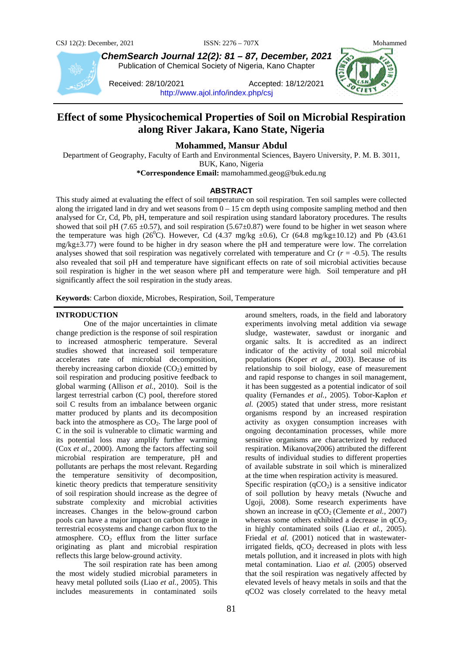

*ChemSearch Journal 12(2): 81 – 87, December, 2021* Publication of Chemical Society of Nigeria, Kano Chapter

Received: 28/10/2021 Accepted: 18/12/2021 <http://www.ajol.info/index.php/csj>

# **Effect of some Physicochemical Properties of Soil on Microbial Respiration along River Jakara, Kano State, Nigeria**

**Mohammed, Mansur Abdul**

Department of Geography, Faculty of Earth and Environmental Sciences, Bayero University, P. M. B. 3011, BUK, Kano, Nigeria

**\*Correspondence Email:** mamohammed.geog@buk.edu.ng

## **ABSTRACT**

This study aimed at evaluating the effect of soil temperature on soil respiration. Ten soil samples were collected along the irrigated land in dry and wet seasons from  $0 - 15$  cm depth using composite sampling method and then analysed for Cr, Cd, Pb, pH, temperature and soil respiration using standard laboratory procedures. The results showed that soil pH (7.65  $\pm$ 0.57), and soil respiration (5.67 $\pm$ 0.87) were found to be higher in wet season where the temperature was high (26<sup>0</sup>C). However, Cd (4.37 mg/kg  $\pm 0.6$ ), Cr (64.8 mg/kg $\pm 10.12$ ) and Pb (43.61 mg/kg±3.77) were found to be higher in dry season where the pH and temperature were low. The correlation analyses showed that soil respiration was negatively correlated with temperature and Cr  $(r = -0.5)$ . The results also revealed that soil pH and temperature have significant effects on rate of soil microbial activities because soil respiration is higher in the wet season where pH and temperature were high. Soil temperature and pH significantly affect the soil respiration in the study areas.

**Keywords**: Carbon dioxide, Microbes, Respiration, Soil, Temperature

#### **INTRODUCTION**

One of the major uncertainties in climate change prediction is the response of soil respiration to increased atmospheric temperature. Several studies showed that increased soil temperature accelerates rate of microbial decomposition, thereby increasing carbon dioxide  $(CO<sub>2</sub>)$  emitted by soil respiration and producing positive feedback to global warming (Allison *et al.,* 2010). Soil is the largest terrestrial carbon (C) pool, therefore stored soil C results from an imbalance between organic matter produced by plants and its decomposition back into the atmosphere as  $CO<sub>2</sub>$ . The large pool of C in the soil is vulnerable to climatic warming and its potential loss may amplify further warming (Cox *et al*., 2000). Among the factors affecting soil microbial respiration are temperature, pH and pollutants are perhaps the most relevant. Regarding the temperature sensitivity of decomposition, kinetic theory predicts that temperature sensitivity of soil respiration should increase as the degree of substrate complexity and microbial activities increases. Changes in the below-ground carbon pools can have a major impact on carbon storage in terrestrial ecosystems and change carbon flux to the atmosphere.  $CO<sub>2</sub>$  efflux from the litter surface originating as plant and microbial respiration reflects this large below-ground activity.

The soil respiration rate has been among the most widely studied microbial parameters in heavy metal polluted soils (Liao *et al.,* 2005). This includes measurements in contaminated soils

experiments involving metal addition via sewage sludge, wastewater, sawdust or inorganic and organic salts. It is accredited as an indirect indicator of the activity of total soil microbial populations (Koper *et al.,* 2003). Because of its relationship to soil biology, ease of measurement and rapid response to changes in soil management, it has been suggested as a potential indicator of soil quality (Fernandes *et al.,* 2005). Tobor-Kapłon *et al.* (2005) stated that under stress, more resistant organisms respond by an increased respiration activity as oxygen consumption increases with ongoing decontamination processes, while more sensitive organisms are characterized by reduced respiration. Mikanova(2006) attributed the different results of individual studies to different properties of available substrate in soil which is mineralized at the time when respiration activity is measured. Specific respiration  $(qCO<sub>2</sub>)$  is a sensitive indicator of soil pollution by heavy metals (Nwuche and Ugoji, 2008). Some research experiments have shown an increase in  $qCO_2$  (Clemente *et al.*, 2007) whereas some others exhibited a decrease in  $qCO<sub>2</sub>$ in highly contaminated soils (Liao *et al.,* 2005). Friedal *et al.* (2001) noticed that in wastewaterirrigated fields,  $qCO<sub>2</sub>$  decreased in plots with less metals pollution, and it increased in plots with high metal contamination. Liao *et al.* (2005) observed that the soil respiration was negatively affected by elevated levels of heavy metals in soils and that the qCO2 was closely correlated to the heavy metal

around smelters, roads, in the field and laboratory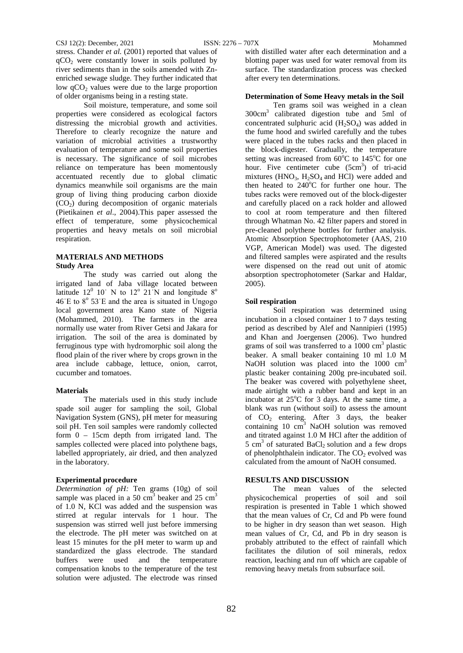stress. Chander *et al.* (2001) reported that values of  $qCO<sub>2</sub>$  were constantly lower in soils polluted by river sediments than in the soils amended with Znenriched sewage sludge. They further indicated that low  $qCO<sub>2</sub>$  values were due to the large proportion of older organisms being in a resting state.

Soil moisture, temperature, and some soil properties were considered as ecological factors distressing the microbial growth and activities. Therefore to clearly recognize the nature and variation of microbial activities a trustworthy evaluation of temperature and some soil properties is necessary. The significance of soil microbes reliance on temperature has been momentously accentuated recently due to global climatic dynamics meanwhile soil organisms are the main group of living thing producing carbon dioxide  $(CO<sub>2</sub>)$  during decomposition of organic materials (Pietikainen *et al*., 2004).This paper assessed the effect of temperature, some physicochemical properties and heavy metals on soil microbial respiration.

#### **MATERIALS AND METHODS Study Area**

The study was carried out along the irrigated land of Jaba village located between latitude  $12^{\circ}$  10' N to  $12^{\circ}$  21<sup>'</sup>N and longitude  $8^{\circ}$  $46'E$  to  $8^{\circ}$  53'E and the area is situated in Ungogo local government area Kano state of Nigeria (Mohammed, 2010). The farmers in the area normally use water from River Getsi and Jakara for irrigation. The soil of the area is dominated by ferruginous type with hydromorphic soil along the flood plain of the river where by crops grown in the area include cabbage, lettuce, onion, carrot, cucumber and tomatoes.

#### **Materials**

The materials used in this study include spade soil auger for sampling the soil, Global Navigation System (GNS), pH meter for measuring soil pH. Ten soil samples were randomly collected form 0 – 15cm depth from irrigated land. The samples collected were placed into polythene bags, labelled appropriately, air dried, and then analyzed in the laboratory.

#### **Experimental procedure**

*Determination of pH:* Ten grams (10g) of soil sample was placed in a 50  $\text{cm}^3$  beaker and 25  $\text{cm}^3$ of 1.0 N, KCl was added and the suspension was stirred at regular intervals for 1 hour. The suspension was stirred well just before immersing the electrode. The pH meter was switched on at least 15 minutes for the pH meter to warm up and standardized the glass electrode. The standard buffers were used and the temperature compensation knobs to the temperature of the test solution were adjusted. The electrode was rinsed

with distilled water after each determination and a blotting paper was used for water removal from its surface. The standardization process was checked after every ten determinations.

#### **Determination of Some Heavy metals in the Soil**

Ten grams soil was weighed in a clean 300cm3 calibrated digestion tube and 5ml of concentrated sulphuric acid  $(H_2SO_4)$  was added in the fume hood and swirled carefully and the tubes were placed in the tubes racks and then placed in the block-digester. Gradually, the temperature setting was increased from  $60^{\circ}$ C to  $145^{\circ}$ C for one hour. Five centimeter cube  $(5cm<sup>3</sup>)$  of tri-acid mixtures (HNO<sub>3</sub>, H<sub>2</sub>SO<sub>4</sub> and HCl) were added and then heated to 240°C for further one hour. The tubes racks were removed out of the block-digester and carefully placed on a rack holder and allowed to cool at room temperature and then filtered through Whatman No. 42 filter papers and stored in pre-cleaned polythene bottles for further analysis. Atomic Absorption Spectrophotometer (AAS, 210 VGP, American Model) was used. The digested and filtered samples were aspirated and the results were dispensed on the read out unit of atomic absorption spectrophotometer (Sarkar and Haldar, 2005).

#### **Soil respiration**

Soil respiration was determined using incubation in a closed container 1 to 7 days testing period as described by Alef and Nannipieri (1995) and Khan and Joergensen (2006). Two hundred grams of soil was transferred to a  $1000 \text{ cm}^3$  plastic beaker. A small beaker containing 10 ml 1.0 M NaOH solution was placed into the  $1000 \text{ cm}^3$ plastic beaker containing 200g pre-incubated soil. The beaker was covered with polyethylene sheet, made airtight with a rubber band and kept in an incubator at  $25^{\circ}$ C for 3 days. At the same time, a blank was run (without soil) to assess the amount of  $CO<sub>2</sub>$  entering. After 3 days, the beaker containing  $10 \text{ cm}^3$  NaOH solution was removed and titrated against 1.0 M HCl after the addition of 5 cm<sup>3</sup> of saturated BaCl<sub>2</sub> solution and a few drops of phenolphthalein indicator. The  $CO<sub>2</sub>$  evolved was calculated from the amount of NaOH consumed.

#### **RESULTS AND DISCUSSION**

The mean values of the selected physicochemical properties of soil and soil respiration is presented in Table 1 which showed that the mean values of Cr, Cd and Pb were found to be higher in dry season than wet season. High mean values of Cr, Cd, and Pb in dry season is probably attributed to the effect of rainfall which facilitates the dilution of soil minerals, redox reaction, leaching and run off which are capable of removing heavy metals from subsurface soil.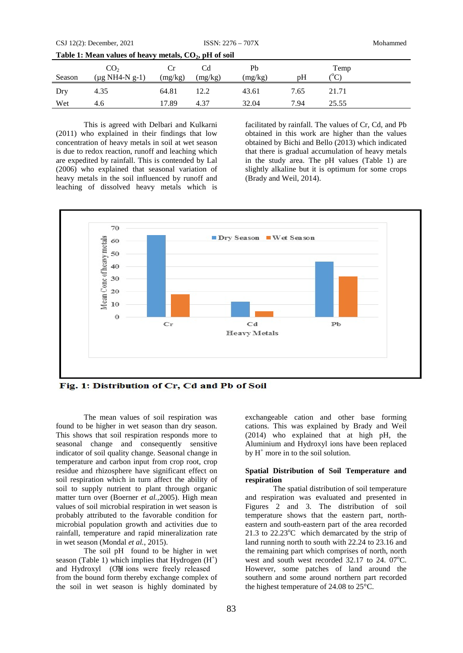| Table 1: Mean values of heavy metals, $CO2$ , pH of soil |                                        |         |         |               |      |                              |
|----------------------------------------------------------|----------------------------------------|---------|---------|---------------|------|------------------------------|
| Season                                                   | CO <sub>2</sub><br>$(\mu g NH4-N g-1)$ | (mg/kg) | (mg/kg) | Pb<br>(mg/kg) | pH   | Temp<br>$^{\circ}\textrm{C}$ |
| Dry                                                      | 4.35                                   | 64.81   | 12.2    | 43.61         | 7.65 | 21.71                        |
| Wet                                                      | 4.6                                    | 17.89   | 4.37    | 32.04         | 7.94 | 25.55                        |

This is agreed with Delbari and Kulkarni (2011) who explained in their findings that low concentration of heavy metals in soil at wet season is due to redox reaction, runoff and leaching which are expedited by rainfall. This is contended by Lal (2006) who explained that seasonal variation of heavy metals in the soil influenced by runoff and leaching of dissolved heavy metals which is

facilitated by rainfall. The values of Cr, Cd, and Pb obtained in this work are higher than the values obtained by Bichi and Bello (2013) which indicated that there is gradual accumulation of heavy metals in the study area. The pH values (Table 1) are slightly alkaline but it is optimum for some crops (Brady and Weil, 2014).



Fig. 1: Distribution of Cr, Cd and Pb of Soil

The mean values of soil respiration was found to be higher in wet season than dry season. This shows that soil respiration responds more to seasonal change and consequently sensitive indicator of soil quality change. Seasonal change in temperature and carbon input from crop root, crop residue and rhizosphere have significant effect on soil respiration which in turn affect the ability of soil to supply nutrient to plant through organic matter turn over (Boerner *et al.,*2005). High mean values of soil microbial respiration in wet season is probably attributed to the favorable condition for microbial population growth and activities due to rainfall, temperature and rapid mineralization rate in wet season (Mondal *et al.*, 2015).

The soil pH found to be higher in wet season (Table 1) which implies that Hydrogen  $(H<sup>+</sup>)$ and Hydroxyl (OH ions were freely released from the bound form thereby exchange complex of the soil in wet season is highly dominated by

exchangeable cation and other base forming cations. This was explained by Brady and Weil (2014) who explained that at high pH, the Aluminium and Hydroxyl ions have been replaced by  $H^+$  more in to the soil solution.

## **Spatial Distribution of Soil Temperature and respiration**

The spatial distribution of soil temperature and respiration was evaluated and presented in Figures 2 and 3. The distribution of soil temperature shows that the eastern part, northeastern and south-eastern part of the area recorded 21.3 to  $22.23^{\circ}$ C which demarcated by the strip of land running north to south with 22.24 to 23.16 and the remaining part which comprises of north, north west and south west recorded 32.17 to 24. 07°C. However, some patches of land around the southern and some around northern part recorded the highest temperature of 24.08 to 25°C.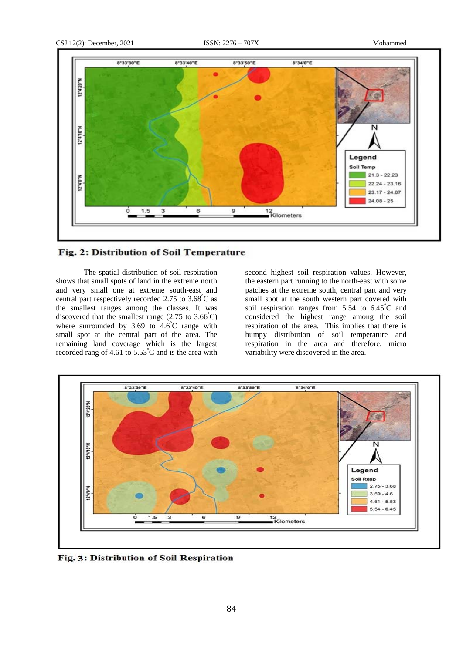

# Fig. 2: Distribution of Soil Temperature

The spatial distribution of soil respiration shows that small spots of land in the extreme north and very small one at extreme south-east and central part respectively recorded 2.75 to 3.68° C as the smallest ranges among the classes. It was discovered that the smallest range  $(2.75 \text{ to } 3.66^{\circ}\text{C})$ where surrounded by 3.69 to 4.6°C range with small spot at the central part of the area. The remaining land coverage which is the largest recorded rang of 4.61 to  $5.53^{\circ}$ C and is the area with

second highest soil respiration values. However, the eastern part running to the north-east with some patches at the extreme south, central part and very small spot at the south western part covered with soil respiration ranges from 5.54 to 6.45° C and considered the highest range among the soil respiration of the area. This implies that there is bumpy distribution of soil temperature and respiration in the area and therefore, micro variability were discovered in the area.



Fig. 3: Distribution of Soil Respiration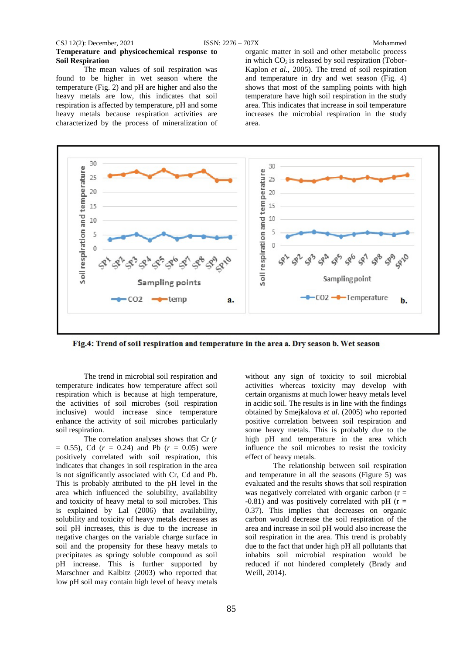#### CSJ 12(2): December, 2021 ISSN: 2276 – 707X Mohammed

# **Temperature and physicochemical response to Soil Respiration**

The mean values of soil respiration was found to be higher in wet season where the temperature (Fig. 2) and pH are higher and also the heavy metals are low, this indicates that soil respiration is affected by temperature, pH and some heavy metals because respiration activities are characterized by the process of mineralization of organic matter in soil and other metabolic process in which  $CO<sub>2</sub>$  is released by soil respiration (Tobor-Kaplon *et al.,* 2005). The trend of soil respiration and temperature in dry and wet season (Fig. 4) shows that most of the sampling points with high temperature have high soil respiration in the study area. This indicates that increase in soil temperature increases the microbial respiration in the study area.



Fig.4: Trend of soil respiration and temperature in the area a. Dry season b. Wet season

The trend in microbial soil respiration and temperature indicates how temperature affect soil respiration which is because at high temperature, the activities of soil microbes (soil respiration inclusive) would increase since temperature enhance the activity of soil microbes particularly soil respiration.

The correlation analyses shows that Cr (*r*  $= 0.55$ ), Cd ( $r = 0.24$ ) and Pb ( $r = 0.05$ ) were positively correlated with soil respiration, this indicates that changes in soil respiration in the area is not significantly associated with Cr, Cd and Pb. This is probably attributed to the pH level in the area which influenced the solubility, availability and toxicity of heavy metal to soil microbes. This is explained by Lal (2006) that availability, solubility and toxicity of heavy metals decreases as soil pH increases, this is due to the increase in negative charges on the variable charge surface in soil and the propensity for these heavy metals to precipitates as springy soluble compound as soil pH increase. This is further supported by Marschner and Kalbitz (2003) who reported that low pH soil may contain high level of heavy metals

without any sign of toxicity to soil microbial activities whereas toxicity may develop with certain organisms at much lower heavy metals level in acidic soil. The results is in line with the findings obtained by Smejkalova *et al.* (2005) who reported positive correlation between soil respiration and some heavy metals. This is probably due to the high pH and temperature in the area which influence the soil microbes to resist the toxicity effect of heavy metals.

The relationship between soil respiration and temperature in all the seasons (Figure 5) was evaluated and the results shows that soil respiration was negatively correlated with organic carbon  $(r =$ -0.81) and was positively correlated with pH ( $r =$ 0.37). This implies that decreases on organic carbon would decrease the soil respiration of the area and increase in soil pH would also increase the soil respiration in the area. This trend is probably due to the fact that under high pH all pollutants that inhabits soil microbial respiration would be reduced if not hindered completely (Brady and Weill, 2014).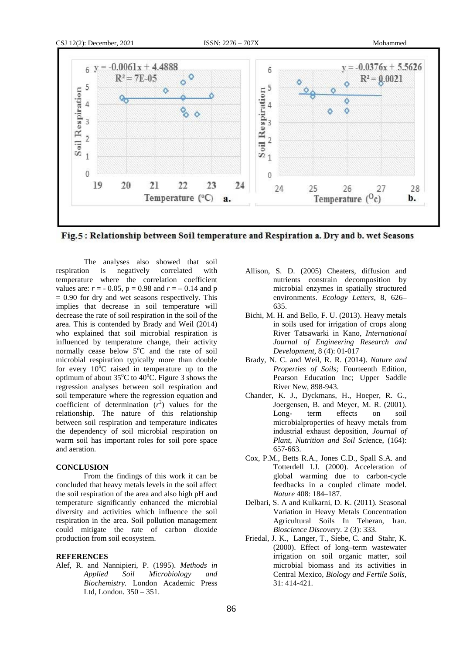

Fig.5: Relationship between Soil temperature and Respiration a. Dry and b. wet Seasons

The analyses also showed that soil respiration is negatively correlated with temperature where the correlation coefficient values are:  $r = -0.05$ ,  $p = 0.98$  and  $r = -0.14$  and p  $= 0.90$  for dry and wet seasons respectively. This implies that decrease in soil temperature will decrease the rate of soil respiration in the soil of the area. This is contended by Brady and Weil (2014) who explained that soil microbial respiration is influenced by temperature change, their activity normally cease below 5°C and the rate of soil microbial respiration typically more than double for every  $10^{\circ}$ C raised in temperature up to the optimum of about  $35^{\circ}$ C to  $40^{\circ}$ C. Figure 3 shows the regression analyses between soil respiration and soil temperature where the regression equation and coefficient of determination  $(r^2)$  values for the relationship. The nature of this relationship between soil respiration and temperature indicates the dependency of soil microbial respiration on warm soil has important roles for soil pore space and aeration.

## **CONCLUSION**

From the findings of this work it can be concluded that heavy metals levels in the soil affect the soil respiration of the area and also high pH and temperature significantly enhanced the microbial diversity and activities which influence the soil respiration in the area. Soil pollution management could mitigate the rate of carbon dioxide production from soil ecosystem.

## **REFERENCES**

Alef, R. and Nannipieri, P. (1995). *Methods in Applied Soil Microbiology and Biochemistry.* London Academic Press Ltd, London. 350 – 351.

- Allison, S. D. (2005) Cheaters, diffusion and nutrients constrain decomposition by microbial enzymes in spatially structured environments. *Ecology Letters,* 8, 626– 635.
- Bichi, M. H. and Bello, F. U. (2013). Heavy metals in soils used for irrigation of crops along River Tatsawarki in Kano, *International Journal of Engineering Research and Development,* 8 (4): 01-017
- Brady, N. C. and Weil, R. R. (2014). *Nature and Properties of Soils;* Fourteenth Edition, Pearson Education Inc; Upper Saddle River New, 898-943.
- Chander, K. J., Dyckmans, H., Hoeper, R. G., Joergensen, B. and Meyer, M. R. (2001). Long- term effects on soil microbialproperties of heavy metals from industrial exhaust deposition, *Journal of Plant, Nutrition and Soil Sci*ence, (164): 657-663.
- Cox, P.M., Betts R.A., Jones C.D., Spall S.A. and Totterdell I.J. (2000). Acceleration of global warming due to carbon-cycle feedbacks in a coupled climate model. *Nature* 408: 184–187.
- Delbari, S. A and Kulkarni, D. K. (2011). Seasonal Variation in Heavy Metals Concentration Agricultural Soils In Teheran, Iran. *Bioscience Discovery.* 2 (3): 333.
- Friedal, J. K., Langer, T., Siebe, C. and Stahr, K. (2000). Effect of long–term wastewater irrigation on soil organic matter, soil microbial biomass and its activities in Central Mexico, *Biology and Fertile Soils,* 31: 414-421.